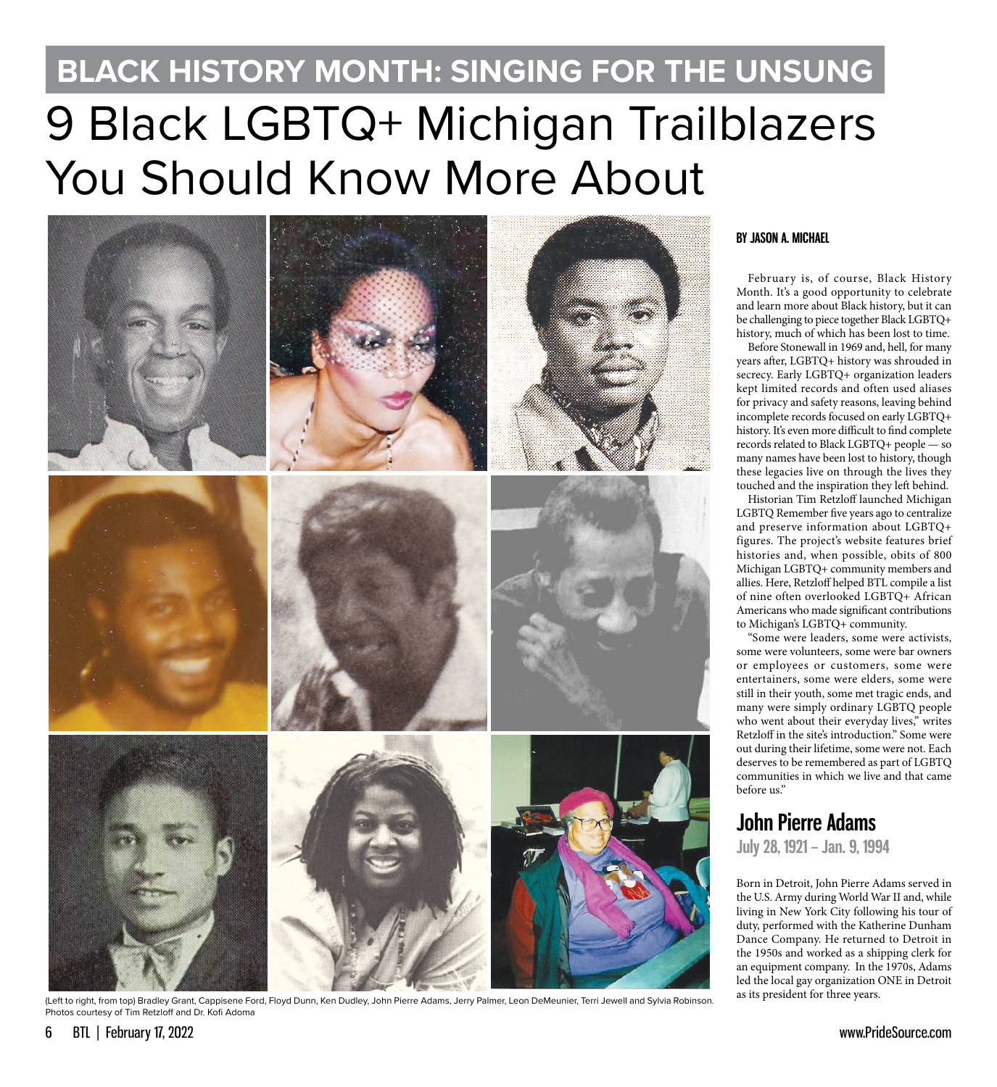# 9 Black LGBTQ+ Michigan Trailblazers You Should Know More About **BLACK HISTORY MONTH: SINGING FOR THE UNSUNG**



(Left to right, from top) Bradley Grant, Cappisene Ford, Floyd Dunn, Ken Dudley, John Pierre Adams, Jerry Palmer, Leon DeMeunier, Terri Jewell and Sylvia Robinson. Photos courtesy of Tim Retzloff and Dr. Kofi Adoma

#### **BY JASON A. MICHAEL**

February is, of course, Black History Month. It's a good opportunity to celebrate and learn more about Black history, but it can be challenging to piece together Black LGBTQ+ history, much of which has been lost to time.

Before Stonewall in 1969 and, hell, for many years after, LGBTQ+ history was shrouded in secrecy. Early LGBTQ+ organization leaders kept limited records and often used aliases for privacy and safety reasons, leaving behind incomplete records focused on early LGBTQ+ history. It's even more difficult to find complete records related to Black LGBTQ+ people — so many names have been lost to history, though these legacies live on through the lives they touched and the inspiration they left behind.

Historian Tim Retzloff launched Michigan LGBTQ Remember five years ago to centralize and preserve information about LGBTQ+ figures. The project's website features brief histories and, when possible, obits of 800 Michigan LGBTQ+ community members and allies. Here, Retzloff helped BTL compile a list of nine often overlooked LGBTQ+ African Americans who made significant contributions to Michigan's LGBTQ+ community.

"Some were leaders, some were activists, some were volunteers, some were bar owners or employees or customers, some were entertainers, some were elders, some were still in their youth, some met tragic ends, and many were simply ordinary LGBTQ people who went about their everyday lives," writes Retzloff in the site's introduction." Some were out during their lifetime, some were not. Each deserves to be remembered as part of LGBTQ communities in which we live and that came before us."

# **John Pierre Adams**

**July 28, 1921 – Jan. 9, 1994**

Born in Detroit, John Pierre Adams served in the U.S. Army during World War II and, while living in New York City following his tour of duty, performed with the Katherine Dunham Dance Company. He returned to Detroit in the 1950s and worked as a shipping clerk for an equipment company. In the 1970s, Adams led the local gay organization ONE in Detroit